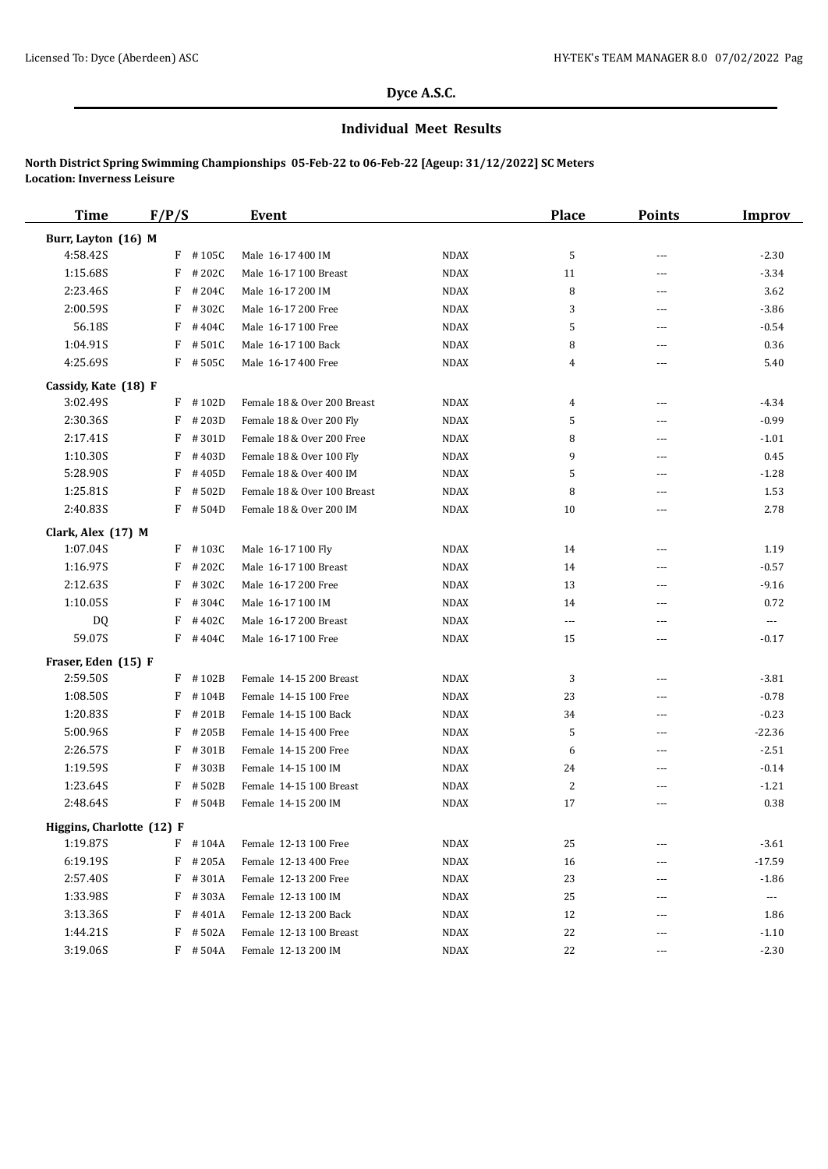# **Dyce A.S.C.**

### **Individual Meet Results**

# **North District Spring Swimming Championships 05-Feb-22 to 06-Feb-22 [Ageup: 31/12/2022] SC Meters Location: Inverness Leisure**

| <b>Time</b>               | F/P/S      | <b>Event</b>                |             | <b>Place</b> | <b>Points</b>  | <b>Improv</b>        |
|---------------------------|------------|-----------------------------|-------------|--------------|----------------|----------------------|
| Burr, Layton (16) M       |            |                             |             |              |                |                      |
| 4:58.42S                  | $F$ #105C  | Male 16-17 400 IM           | <b>NDAX</b> | 5            | ---            | $-2.30$              |
| 1:15.68S                  | F<br>#202C | Male 16-17 100 Breast       | <b>NDAX</b> | 11           | ---            | $-3.34$              |
| 2:23.46S                  | F<br>#204C | Male 16-17 200 IM           | <b>NDAX</b> | 8            | $---$          | 3.62                 |
| 2:00.59S                  | F<br>#302C | Male 16-17 200 Free         | <b>NDAX</b> | 3            | $\cdots$       | $-3.86$              |
| 56.18S                    | F<br>#404C | Male 16-17 100 Free         | <b>NDAX</b> | 5            | $\overline{a}$ | $-0.54$              |
| 1:04.91S                  | F<br>#501C | Male 16-17 100 Back         | <b>NDAX</b> | 8            | ---            | 0.36                 |
| 4:25.69S                  | $F$ #505C  | Male 16-17 400 Free         | <b>NDAX</b> | 4            | $\cdots$       | 5.40                 |
| Cassidy, Kate (18) F      |            |                             |             |              |                |                      |
| 3:02.49S                  | $F$ #102D  | Female 18 & Over 200 Breast | <b>NDAX</b> | 4            | $\overline{a}$ | $-4.34$              |
| 2:30.36S                  | F<br>#203D | Female 18 & Over 200 Fly    | <b>NDAX</b> | 5            | $---$          | $-0.99$              |
| 2:17.41S                  | F<br>#301D | Female 18 & Over 200 Free   | <b>NDAX</b> | 8            | ---            | $-1.01$              |
| 1:10.30S                  | F<br>#403D | Female 18 & Over 100 Fly    | <b>NDAX</b> | 9            | $---$          | 0.45                 |
| 5:28.90S                  | #405D<br>F | Female 18 & Over 400 IM     | <b>NDAX</b> | 5            | ---            | $-1.28$              |
| 1:25.81S                  | F<br>#502D | Female 18 & Over 100 Breast | <b>NDAX</b> | 8            | $---$          | 1.53                 |
| 2:40.83S                  | F<br>#504D | Female 18 & Over 200 IM     | <b>NDAX</b> | 10           | ---            | 2.78                 |
| Clark, Alex (17) M        |            |                             |             |              |                |                      |
| 1:07.04S                  | $F$ #103C  | Male 16-17 100 Fly          | <b>NDAX</b> | 14           | $---$          | 1.19                 |
| 1:16.97S                  | F<br>#202C | Male 16-17 100 Breast       | <b>NDAX</b> | 14           | $\cdots$       | $-0.57$              |
| 2:12.63S                  | F<br>#302C | Male 16-17 200 Free         | <b>NDAX</b> | 13           | $---$          | $-9.16$              |
| 1:10.05S                  | F<br>#304C | Male 16-17 100 IM           | <b>NDAX</b> | 14           | $---$          | 0.72                 |
| <b>DQ</b>                 | F<br>#402C | Male 16-17 200 Breast       | <b>NDAX</b> | $---$        | $---$          | $\scriptstyle\cdots$ |
| 59.07S                    | $F$ #404C  | Male 16-17 100 Free         | <b>NDAX</b> | 15           | ---            | $-0.17$              |
| Fraser, Eden (15) F       |            |                             |             |              |                |                      |
| 2:59.50S                  | F #102B    | Female 14-15 200 Breast     | <b>NDAX</b> | 3            | ---            | $-3.81$              |
| 1:08.50S                  | F<br>#104B | Female 14-15 100 Free       | <b>NDAX</b> | 23           | $\cdots$       | $-0.78$              |
| 1:20.83S                  | F<br>#201B | Female 14-15 100 Back       | <b>NDAX</b> | 34           | $\cdots$       | $-0.23$              |
| 5:00.96S                  | F<br>#205B | Female 14-15 400 Free       | <b>NDAX</b> | 5            | $\cdots$       | $-22.36$             |
| 2:26.57S                  | F<br>#301B | Female 14-15 200 Free       | <b>NDAX</b> | 6            | $\cdots$       | $-2.51$              |
| 1:19.59S                  | #303B<br>F | Female 14-15 100 IM         | <b>NDAX</b> | 24           | ---            | $-0.14$              |
| 1:23.64S                  | #502B<br>F | Female 14-15 100 Breast     | <b>NDAX</b> | 2            | $- - -$        | $-1.21$              |
| 2:48.64S                  | $F$ # 504B | Female 14-15 200 IM         | <b>NDAX</b> | 17           | ---            | 0.38                 |
| Higgins, Charlotte (12) F |            |                             |             |              |                |                      |
| 1:19.87S                  | F<br>#104A | Female 12-13 100 Free       | <b>NDAX</b> | 25           | ---            | $-3.61$              |
| 6:19.19S                  | F<br>#205A | Female 12-13 400 Free       | <b>NDAX</b> | 16           |                | $-17.59$             |
| 2:57.40S                  | #301A<br>F | Female 12-13 200 Free       | <b>NDAX</b> | 23           | ---            | $-1.86$              |
| 1:33.98S                  | F<br>#303A | Female 12-13 100 IM         | NDAX        | 25           | ---            | $\scriptstyle\cdots$ |
| 3:13.36S                  | F<br>#401A | Female 12-13 200 Back       | NDAX        | 12           | ---            | 1.86                 |
| 1:44.21S                  | F<br>#502A | Female 12-13 100 Breast     | NDAX        | 22           | ---            | $-1.10$              |
| 3:19.06S                  | $F$ #504A  | Female 12-13 200 IM         | NDAX        | 22           | $---$          | $-2.30$              |